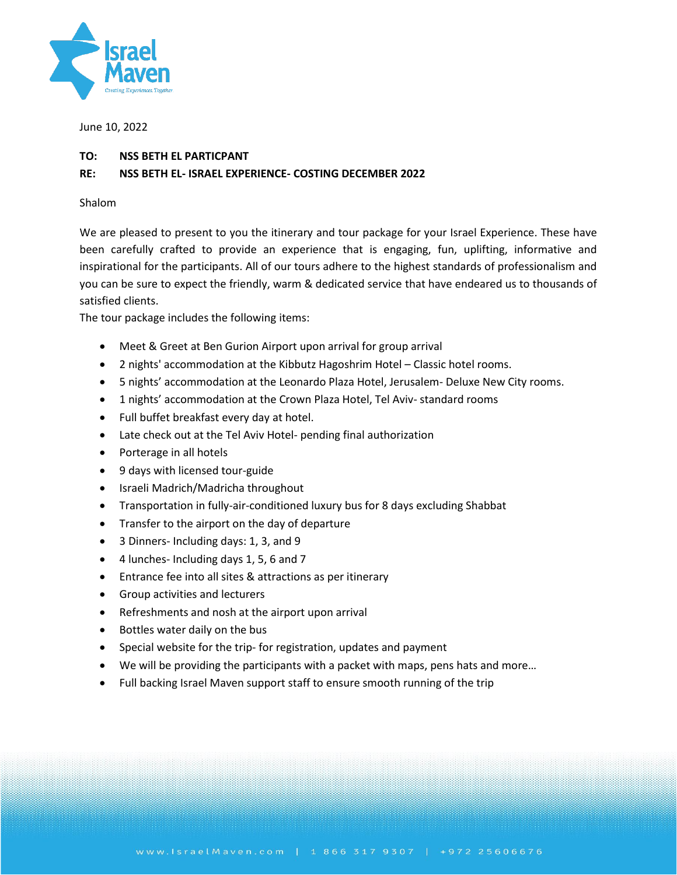

June 10, 2022

## **TO: NSS BETH EL PARTICPANT**

## **RE: NSS BETH EL- ISRAEL EXPERIENCE- COSTING DECEMBER 2022**

### Shalom

We are pleased to present to you the itinerary and tour package for your Israel Experience. These have been carefully crafted to provide an experience that is engaging, fun, uplifting, informative and inspirational for the participants. All of our tours adhere to the highest standards of professionalism and you can be sure to expect the friendly, warm & dedicated service that have endeared us to thousands of satisfied clients.

The tour package includes the following items:

- Meet & Greet at Ben Gurion Airport upon arrival for group arrival
- 2 nights' accommodation at the Kibbutz Hagoshrim Hotel Classic hotel rooms.
- 5 nights' accommodation at the Leonardo Plaza Hotel, Jerusalem- Deluxe New City rooms.
- 1 nights' accommodation at the Crown Plaza Hotel, Tel Aviv- standard rooms
- Full buffet breakfast every day at hotel.
- Late check out at the Tel Aviv Hotel- pending final authorization
- Porterage in all hotels
- 9 days with licensed tour-guide
- Israeli Madrich/Madricha throughout
- Transportation in fully-air-conditioned luxury bus for 8 days excluding Shabbat
- Transfer to the airport on the day of departure
- 3 Dinners- Including days: 1, 3, and 9
- 4 lunches- Including days 1, 5, 6 and 7
- Entrance fee into all sites & attractions as per itinerary
- Group activities and lecturers
- Refreshments and nosh at the airport upon arrival
- Bottles water daily on the bus
- Special website for the trip- for registration, updates and payment
- We will be providing the participants with a packet with maps, pens hats and more…
- Full backing Israel Maven support staff to ensure smooth running of the trip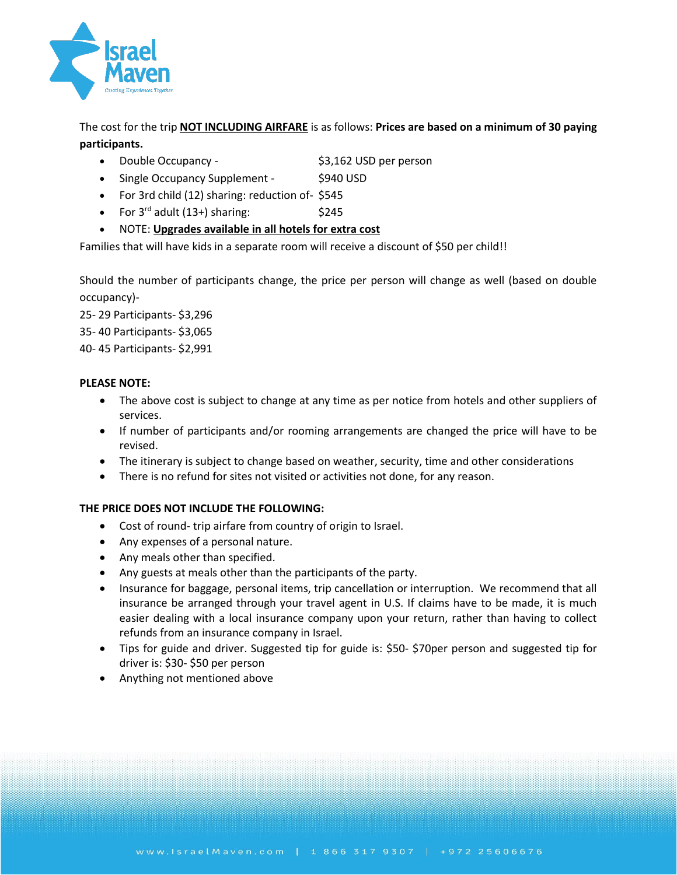

The cost for the trip **NOT INCLUDING AIRFARE** is as follows: **Prices are based on a minimum of 30 paying participants.**

- Double Occupancy \$3,162 USD per person
- Single Occupancy Supplement \$940 USD
	-
- For 3rd child (12) sharing: reduction of- \$545
- For  $3^{rd}$  adult (13+) sharing:  $$245$
- NOTE: **Upgrades available in all hotels for extra cost**

Families that will have kids in a separate room will receive a discount of \$50 per child!!

Should the number of participants change, the price per person will change as well (based on double occupancy)-

25- 29 Participants- \$3,296

35- 40 Participants- \$3,065

40- 45 Participants- \$2,991

# **PLEASE NOTE:**

- The above cost is subject to change at any time as per notice from hotels and other suppliers of services.
- If number of participants and/or rooming arrangements are changed the price will have to be revised.
- The itinerary is subject to change based on weather, security, time and other considerations
- There is no refund for sites not visited or activities not done, for any reason.

# **THE PRICE DOES NOT INCLUDE THE FOLLOWING:**

- Cost of round- trip airfare from country of origin to Israel.
- Any expenses of a personal nature.
- Any meals other than specified.
- Any guests at meals other than the participants of the party.
- Insurance for baggage, personal items, trip cancellation or interruption. We recommend that all insurance be arranged through your travel agent in U.S. If claims have to be made, it is much easier dealing with a local insurance company upon your return, rather than having to collect refunds from an insurance company in Israel.
- Tips for guide and driver. Suggested tip for guide is: \$50- \$70per person and suggested tip for driver is: \$30- \$50 per person
- Anything not mentioned above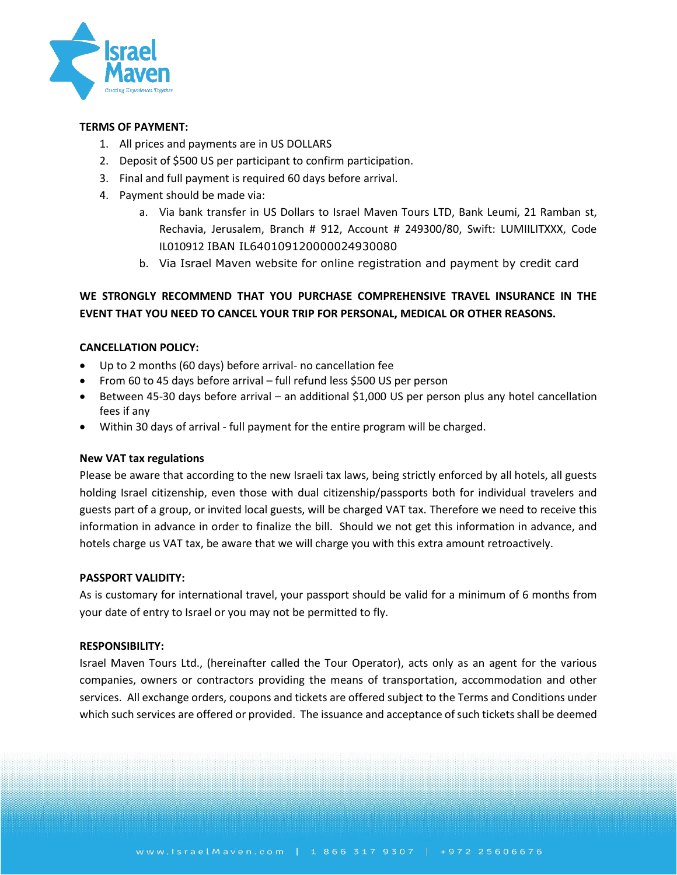

## **TERMS OF PAYMENT:**

- 1. All prices and payments are in US DOLLARS
- 2. Deposit of \$500 US per participant to confirm participation.
- 3. Final and full payment is required 60 days before arrival.
- 4. Payment should be made via:
	- a. Via bank transfer in US Dollars to Israel Maven Tours LTD, Bank Leumi, 21 Ramban st, Rechavia, Jerusalem, Branch # 912, Account # 249300/80, Swift: LUMIILITXXX, Code IL010912 IBAN IL640109120000024930080
	- b. Via Israel Maven website for online registration and payment by credit card

# **WE STRONGLY RECOMMEND THAT YOU PURCHASE COMPREHENSIVE TRAVEL INSURANCE IN THE EVENT THAT YOU NEED TO CANCEL YOUR TRIP FOR PERSONAL, MEDICAL OR OTHER REASONS.**

# **CANCELLATION POLICY:**

- Up to 2 months (60 days) before arrival- no cancellation fee
- From 60 to 45 days before arrival full refund less \$500 US per person
- Between 45-30 days before arrival an additional \$1,000 US per person plus any hotel cancellation fees if any
- Within 30 days of arrival full payment for the entire program will be charged.

# **New VAT tax regulations**

Please be aware that according to the new Israeli tax laws, being strictly enforced by all hotels, all guests holding Israel citizenship, even those with dual citizenship/passports both for individual travelers and guests part of a group, or invited local guests, will be charged VAT tax. Therefore we need to receive this information in advance in order to finalize the bill. Should we not get this information in advance, and hotels charge us VAT tax, be aware that we will charge you with this extra amount retroactively.

### **PASSPORT VALIDITY:**

As is customary for international travel, your passport should be valid for a minimum of 6 months from your date of entry to Israel or you may not be permitted to fly.

### **RESPONSIBILITY:**

Israel Maven Tours Ltd., (hereinafter called the Tour Operator), acts only as an agent for the various companies, owners or contractors providing the means of transportation, accommodation and other services. All exchange orders, coupons and tickets are offered subject to the Terms and Conditions under which such services are offered or provided. The issuance and acceptance of such tickets shall be deemed